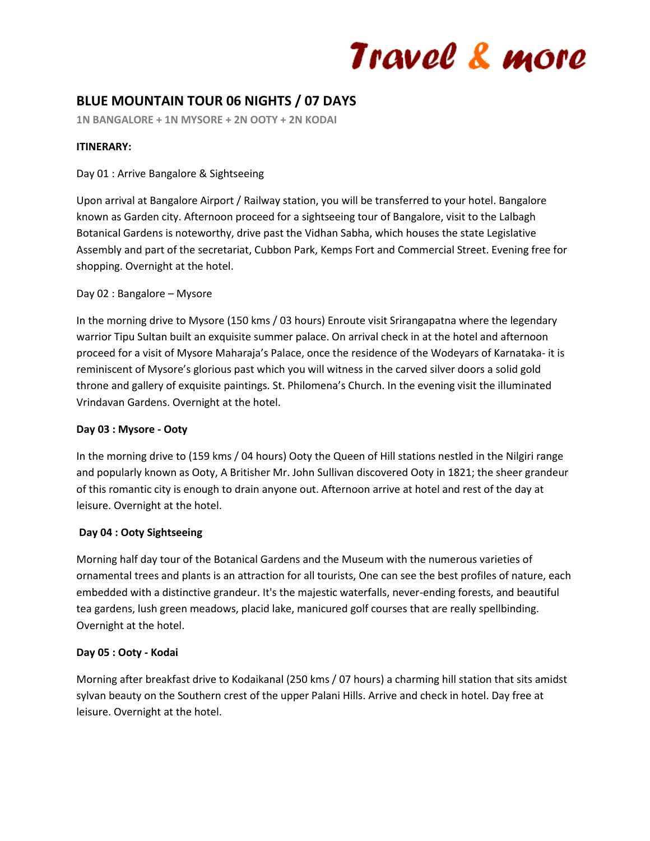# Travel & more

### **BLUE MOUNTAIN TOUR 06 NIGHTS / 07 DAYS**

**1N BANGALORE + 1N MYSORE + 2N OOTY + 2N KODAI**

#### **ITINERARY:**

#### Day 01 : Arrive Bangalore & Sightseeing

Upon arrival at Bangalore Airport / Railway station, you will be transferred to your hotel. Bangalore known as Garden city. Afternoon proceed for a sightseeing tour of Bangalore, visit to the Lalbagh Botanical Gardens is noteworthy, drive past the Vidhan Sabha, which houses the state Legislative Assembly and part of the secretariat, Cubbon Park, Kemps Fort and Commercial Street. Evening free for shopping. Overnight at the hotel.

#### Day 02 : Bangalore – Mysore

In the morning drive to Mysore (150 kms / 03 hours) Enroute visit Srirangapatna where the legendary warrior Tipu Sultan built an exquisite summer palace. On arrival check in at the hotel and afternoon proceed for a visit of Mysore Maharaja's Palace, once the residence of the Wodeyars of Karnataka- it is reminiscent of Mysore's glorious past which you will witness in the carved silver doors a solid gold throne and gallery of exquisite paintings. St. Philomena's Church. In the evening visit the illuminated Vrindavan Gardens. Overnight at the hotel.

#### **Day 03 : Mysore - Ooty**

In the morning drive to (159 kms / 04 hours) Ooty the Queen of Hill stations nestled in the Nilgiri range and popularly known as Ooty, A Britisher Mr. John Sullivan discovered Ooty in 1821; the sheer grandeur of this romantic city is enough to drain anyone out. Afternoon arrive at hotel and rest of the day at leisure. Overnight at the hotel.

#### **Day 04 : Ooty Sightseeing**

Morning half day tour of the Botanical Gardens and the Museum with the numerous varieties of ornamental trees and plants is an attraction for all tourists, One can see the best profiles of nature, each embedded with a distinctive grandeur. It's the majestic waterfalls, never-ending forests, and beautiful tea gardens, lush green meadows, placid lake, manicured golf courses that are really spellbinding. Overnight at the hotel.

#### **Day 05 : Ooty - Kodai**

Morning after breakfast drive to Kodaikanal (250 kms / 07 hours) a charming hill station that sits amidst sylvan beauty on the Southern crest of the upper Palani Hills. Arrive and check in hotel. Day free at leisure. Overnight at the hotel.